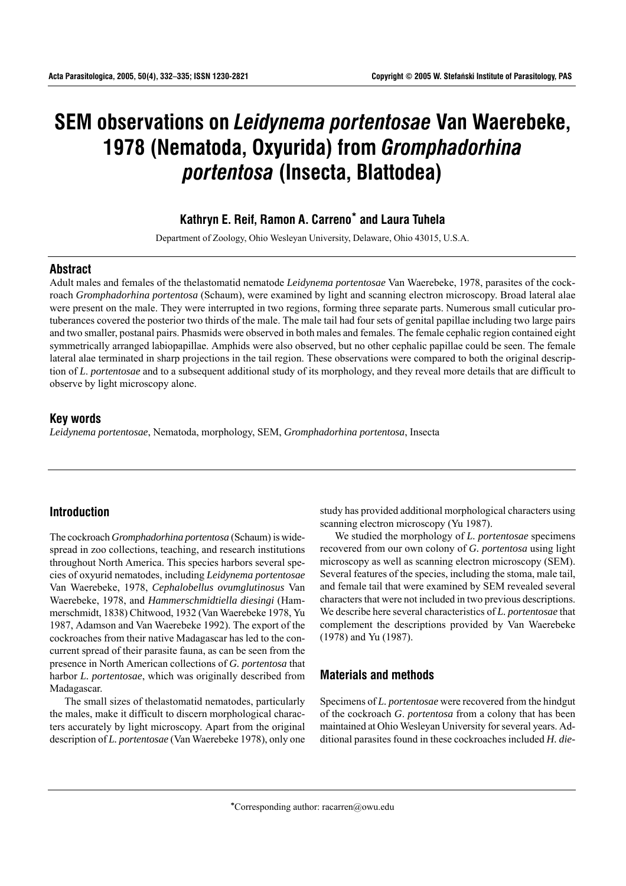# **SEM observations on** *Leidynema portentosae* **Van Waerebeke, 1978 (Nematoda, Oxyurida) from** *Gromphadorhina portentosa* **(Insecta, Blattodea)**

## **Kathryn E. Reif, Ramon A. Carreno\* and Laura Tuhela**

Department of Zoology, Ohio Wesleyan University, Delaware, Ohio 43015, U.S.A.

#### **Abstract**

Adult males and females of the thelastomatid nematode *Leidynema portentosae* Van Waerebeke, 1978, parasites of the cockroach *Gromphadorhina portentosa* (Schaum), were examined by light and scanning electron microscopy. Broad lateral alae were present on the male. They were interrupted in two regions, forming three separate parts. Numerous small cuticular protuberances covered the posterior two thirds of the male. The male tail had four sets of genital papillae including two large pairs and two smaller, postanal pairs. Phasmids were observed in both males and females. The female cephalic region contained eight symmetrically arranged labiopapillae. Amphids were also observed, but no other cephalic papillae could be seen. The female lateral alae terminated in sharp projections in the tail region. These observations were compared to both the original description of *L*. *portentosae* and to a subsequent additional study of its morphology, and they reveal more details that are difficult to observe by light microscopy alone.

## **Key words**

*Leidynema portentosae*, Nematoda, morphology, SEM, *Gromphadorhina portentosa*, Insecta

## **Introduction**

The cockroach *Gromphadorhina portentosa* (Schaum) is widespread in zoo collections, teaching, and research institutions throughout North America. This species harbors several species of oxyurid nematodes, including *Leidynema portentosae* Van Waerebeke, 1978, *Cephalobellus ovumglutinosus* Van Waerebeke, 1978, and *Hammerschmidtiella diesingi* (Hammerschmidt, 1838) Chitwood, 1932 (Van Waerebeke 1978, Yu 1987, Adamson and Van Waerebeke 1992). The export of the cockroaches from their native Madagascar has led to the concurrent spread of their parasite fauna, as can be seen from the presence in North American collections of *G. portentosa* that harbor *L. portentosae*, which was originally described from Madagascar.

The small sizes of thelastomatid nematodes, particularly the males, make it difficult to discern morphological characters accurately by light microscopy. Apart from the original description of *L. portentosae* (Van Waerebeke 1978), only one study has provided additional morphological characters using scanning electron microscopy (Yu 1987).

We studied the morphology of *L. portentosae* specimens recovered from our own colony of *G. portentosa* using light microscopy as well as scanning electron microscopy (SEM). Several features of the species, including the stoma, male tail, and female tail that were examined by SEM revealed several characters that were not included in two previous descriptions. We describe here several characteristics of *L. portentosae* that complement the descriptions provided by Van Waerebeke (1978) and Yu (1987).

## **Materials and methods**

Specimens of *L. portentosae* were recovered from the hindgut of the cockroach *G*. *portentosa* from a colony that has been maintained at Ohio Wesleyan University for several years. Additional parasites found in these cockroaches included *H. die-*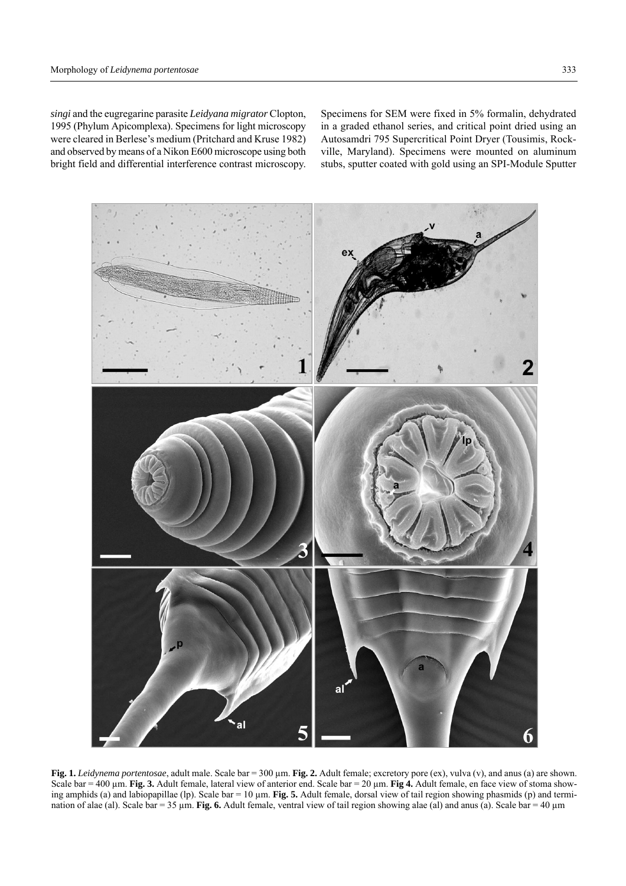*singi* and the eugregarine parasite *Leidyana migrator* Clopton, 1995 (Phylum Apicomplexa). Specimens for light microscopy were cleared in Berlese's medium (Pritchard and Kruse 1982) and observed by means of a Nikon E600 microscope using both bright field and differential interference contrast microscopy.

Specimens for SEM were fixed in 5% formalin, dehydrated in a graded ethanol series, and critical point dried using an Autosamdri 795 Supercritical Point Dryer (Tousimis, Rockville, Maryland). Specimens were mounted on aluminum stubs, sputter coated with gold using an SPI-Module Sputter



**Fig. 1.** *Leidynema portentosae*, adult male. Scale bar = 300 µm. **Fig. 2.** Adult female; excretory pore (ex), vulva (v), and anus (a) are shown. Scale bar = 400 µm. **Fig. 3.** Adult female, lateral view of anterior end. Scale bar = 20 µm. **Fig 4.** Adult female, en face view of stoma showing amphids (a) and labiopapillae (lp). Scale bar = 10 µm. **Fig. 5.** Adult female, dorsal view of tail region showing phasmids (p) and termination of alae (al). Scale bar = 35  $\mu$ m. **Fig. 6.** Adult female, ventral view of tail region showing alae (al) and anus (a). Scale bar = 40  $\mu$ m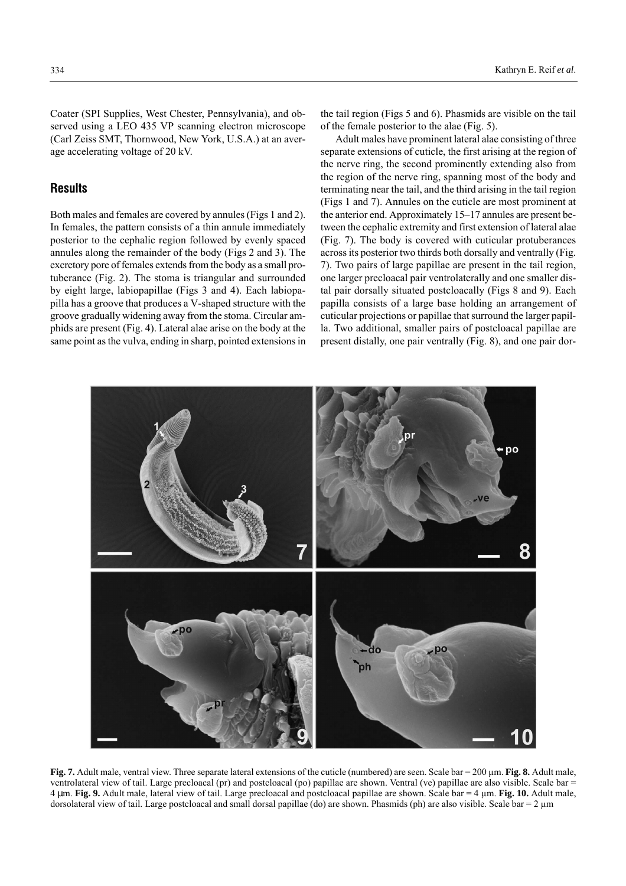Coater (SPI Supplies, West Chester, Pennsylvania), and observed using a LEO 435 VP scanning electron microscope (Carl Zeiss SMT, Thornwood, New York, U.S.A.) at an average accelerating voltage of 20 kV.

## **Results**

Both males and females are covered by annules (Figs 1 and 2). In females, the pattern consists of a thin annule immediately posterior to the cephalic region followed by evenly spaced annules along the remainder of the body (Figs 2 and 3). The excretory pore of females extends from the body as a small protuberance (Fig. 2). The stoma is triangular and surrounded by eight large, labiopapillae (Figs 3 and 4). Each labiopapilla has a groove that produces a V-shaped structure with the groove gradually widening away from the stoma. Circular amphids are present (Fig. 4). Lateral alae arise on the body at the same point as the vulva, ending in sharp, pointed extensions in the tail region (Figs 5 and 6). Phasmids are visible on the tail of the female posterior to the alae (Fig. 5).

Adult males have prominent lateral alae consisting of three separate extensions of cuticle, the first arising at the region of the nerve ring, the second prominently extending also from the region of the nerve ring, spanning most of the body and terminating near the tail, and the third arising in the tail region (Figs 1 and 7). Annules on the cuticle are most prominent at the anterior end. Approximately  $15-17$  annules are present between the cephalic extremity and first extension of lateral alae (Fig. 7). The body is covered with cuticular protuberances across its posterior two thirds both dorsally and ventrally (Fig. 7). Two pairs of large papillae are present in the tail region, one larger precloacal pair ventrolaterally and one smaller distal pair dorsally situated postcloacally (Figs 8 and 9). Each papilla consists of a large base holding an arrangement of cuticular projections or papillae that surround the larger papilla. Two additional, smaller pairs of postcloacal papillae are present distally, one pair ventrally (Fig. 8), and one pair dor-



**Fig. 7.** Adult male, ventral view. Three separate lateral extensions of the cuticle (numbered) are seen. Scale bar = 200  $\mu$ m. **Fig. 8.** Adult male, ventrolateral view of tail. Large precloacal (pr) and postcloacal (po) papillae are shown. Ventral (ve) papillae are also visible. Scale bar = 4 µm. **Fig. 9.** Adult male, lateral view of tail. Large precloacal and postcloacal papillae are shown. Scale bar = 4 µm. **Fig. 10.** Adult male, dorsolateral view of tail. Large postcloacal and small dorsal papillae (do) are shown. Phasmids (ph) are also visible. Scale bar  $= 2 \mu m$